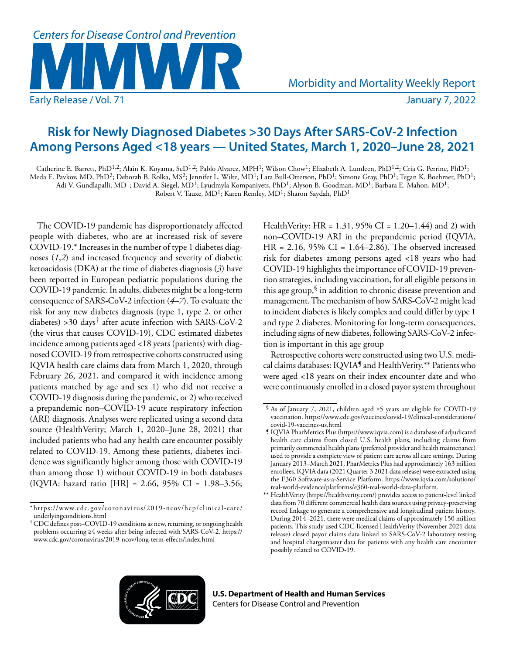

# **Risk for Newly Diagnosed Diabetes >30 Days After SARS-CoV-2 Infection Among Persons Aged <18 years — United States, March 1, 2020–June 28, 2021**

Catherine E. Barrett, PhD<sup>1,2</sup>; Alain K. Koyama, ScD<sup>1,2</sup>; Pablo Alvarez, MPH<sup>1</sup>; Wilson Chow<sup>1</sup>; Elizabeth A. Lundeen, PhD<sup>1,2</sup>; Cria G. Perrine, PhD<sup>1</sup>; Meda E. Pavkov, MD, PhD<sup>2</sup>; Deborah B. Rolka, MS<sup>2</sup>; Jennifer L. Wiltz, MD<sup>1</sup>; Lara Bull-Otterson, PhD<sup>1</sup>; Simone Gray, PhD<sup>1</sup>; Tegan K. Boehmer, PhD<sup>1</sup>; Adi V. Gundlapalli, MD<sup>1</sup>; David A. Siegel, MD<sup>1</sup>; Lyudmyla Kompaniyets, PhD<sup>1</sup>; Alyson B. Goodman, MD<sup>1</sup>; Barbara E. Mahon, MD<sup>1</sup>; Robert V. Tauxe, MD<sup>1</sup>; Karen Remley, MD<sup>1</sup>; Sharon Saydah, PhD<sup>1</sup>

The COVID-19 pandemic has disproportionately affected people with diabetes, who are at increased risk of severe COVID-19.\* Increases in the number of type 1 diabetes diagnoses (*1*,*2*) and increased frequency and severity of diabetic ketoacidosis (DKA) at the time of diabetes diagnosis (*3*) have been reported in European pediatric populations during the COVID-19 pandemic. In adults, diabetes might be a long-term consequence of SARS-CoV-2 infection (*4*–*7*). To evaluate the risk for any new diabetes diagnosis (type 1, type 2, or other diabetes) >30 days† after acute infection with SARS-CoV-2 (the virus that causes COVID-19), CDC estimated diabetes incidence among patients aged <18 years (patients) with diagnosed COVID-19 from retrospective cohorts constructed using IQVIA health care claims data from March 1, 2020, through February 26, 2021, and compared it with incidence among patients matched by age and sex 1) who did not receive a COVID-19 diagnosis during the pandemic, or 2) who received a prepandemic non–COVID-19 acute respiratory infection (ARI) diagnosis. Analyses were replicated using a second data source (HealthVerity; March 1, 2020–June 28, 2021) that included patients who had any health care encounter possibly related to COVID-19. Among these patients, diabetes incidence was significantly higher among those with COVID-19 than among those 1) without COVID-19 in both databases (IQVIA: hazard ratio [HR] = 2.66, 95% CI = 1.98–3.56;

HealthVerity: HR =  $1.31$ , 95% CI =  $1.20-1.44$ ) and 2) with non–COVID-19 ARI in the prepandemic period (IQVIA, HR = 2.16, 95% CI = 1.64–2.86). The observed increased risk for diabetes among persons aged <18 years who had COVID-19 highlights the importance of COVID-19 prevention strategies, including vaccination, for all eligible persons in this age group, $\frac{1}{2}$  in addition to chronic disease prevention and management. The mechanism of how SARS-CoV-2 might lead to incident diabetes is likely complex and could differ by type 1 and type 2 diabetes. Monitoring for long-term consequences, including signs of new diabetes, following SARS-CoV-2 infection is important in this age group

Retrospective cohorts were constructed using two U.S. medical claims databases: IQVIA<sup>5</sup> and HealthVerity.\*\* Patients who were aged <18 years on their index encounter date and who were continuously enrolled in a closed payor system throughout



<sup>\*</sup> [https://www.cdc.gov/coronavirus/2019-ncov/hcp/clinical-care/](https://www.cdc.gov/coronavirus/2019-ncov/hcp/clinical-care/underlyingconditions.html) [underlyingconditions.html](https://www.cdc.gov/coronavirus/2019-ncov/hcp/clinical-care/underlyingconditions.html)

<sup>†</sup>CDC defines post–COVID-19 conditions as new, returning, or ongoing health problems occurring ≥4 weeks after being infected with SARS-CoV-2. [https://](https://www.cdc.gov/coronavirus/2019-ncov/long-term-effects/index.html) [www.cdc.gov/coronavirus/2019-ncov/long-term-effects/index.html](https://www.cdc.gov/coronavirus/2019-ncov/long-term-effects/index.html)

<sup>§</sup> As of January 7, 2021, children aged ≥5 years are eligible for COVID-19 vaccination. [https://www.cdc.gov/vaccines/covid-19/clinical-considerations/](https://www.cdc.gov/vaccines/covid-19/clinical-considerations/covid-19-vaccines-us.html) [covid-19-vaccines-us.html](https://www.cdc.gov/vaccines/covid-19/clinical-considerations/covid-19-vaccines-us.html)

<sup>¶</sup> IQVIA PharMetrics Plus ([https://www.iqvia.com\)](https://www.iqvia.com) is a database of adjudicated health care claims from closed U.S. health plans, including claims from primarily commercial health plans (preferred provider and health maintenance) used to provide a complete view of patient care across all care settings. During January 2013–March 2021, PharMetrics Plus had approximately 163 million enrollees. IQVIA data (2021 Quarter 3 2021 data release) were extracted using the E360 Software-as-a-Service Platform. [https://www.iqvia.com/solutions/](https://www.iqvia.com/solutions/real-world-evidence/platforms/e360-real-world-data-platform) [real-world-evidence/platforms/e360-real-world-data-platform.](https://www.iqvia.com/solutions/real-world-evidence/platforms/e360-real-world-data-platform)

<sup>\*\*</sup> HealthVerity [\(https://healthverity.com/](https://healthverity.com/)) provides access to patient-level linked data from 70 different commercial health data sources using privacy-preserving record linkage to generate a comprehensive and longitudinal patient history. During 2014–2021, there were medical claims of approximately 150 million patients. This study used CDC-licensed HealthVerity (November 2021 data release) closed payor claims data linked to SARS-CoV-2 laboratory testing and hospital chargemaster data for patients with any health care encounter possibly related to COVID-19.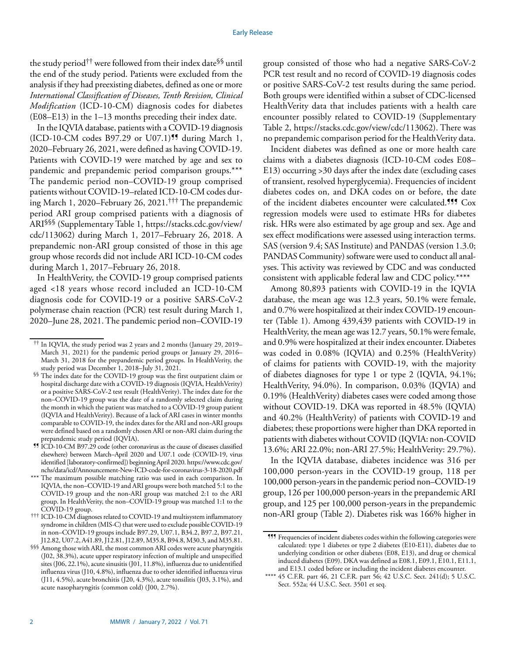the study period†† were followed from their index date§§ until the end of the study period. Patients were excluded from the analysis if they had preexisting diabetes, defined as one or more *International Classification of Diseases, Tenth Revision, Clinical Modification* (ICD-10-CM) diagnosis codes for diabetes (E08–E13) in the 1–13 months preceding their index date.

In the IQVIA database, patients with a COVID-19 diagnosis  $(ICD-10-CM \text{ codes } B97.29 \text{ or } U07.1)$ <sup>99</sup> during March 1, 2020–February 26, 2021, were defined as having COVID-19. Patients with COVID-19 were matched by age and sex to pandemic and prepandemic period comparison groups.\*\*\* The pandemic period non–COVID-19 group comprised patients without COVID-19–related ICD-10-CM codes during March 1, 2020–February 26, 2021.††† The prepandemic period ARI group comprised patients with a diagnosis of ARI§§§ (Supplementary Table 1, [https://stacks.cdc.gov/view/](https://stacks.cdc.gov/view/cdc/113062) [cdc/113062](https://stacks.cdc.gov/view/cdc/113062)) during March 1, 2017–February 26, 2018. A prepandemic non-ARI group consisted of those in this age group whose records did not include ARI ICD-10-CM codes during March 1, 2017–February 26, 2018.

In HealthVerity, the COVID-19 group comprised patients aged <18 years whose record included an ICD-10-CM diagnosis code for COVID-19 or a positive SARS-CoV-2 polymerase chain reaction (PCR) test result during March 1, 2020–June 28, 2021. The pandemic period non–COVID-19 group consisted of those who had a negative SARS-CoV-2 PCR test result and no record of COVID-19 diagnosis codes or positive SARS-CoV-2 test results during the same period. Both groups were identified within a subset of CDC-licensed HealthVerity data that includes patients with a health care encounter possibly related to COVID-19 (Supplementary Table 2, <https://stacks.cdc.gov/view/cdc/113062>). There was no prepandemic comparison period for the HealthVerity data.

Incident diabetes was defined as one or more health care claims with a diabetes diagnosis (ICD-10-CM codes E08– E13) occurring >30 days after the index date (excluding cases of transient, resolved hyperglycemia). Frequencies of incident diabetes codes on, and DKA codes on or before, the date of the incident diabetes encounter were calculated.<sup>111</sup> Cox regression models were used to estimate HRs for diabetes risk. HRs were also estimated by age group and sex. Age and sex effect modifications were assessed using interaction terms. SAS (version 9.4; SAS Institute) and PANDAS (version 1.3.0; PANDAS Community) software were used to conduct all analyses. This activity was reviewed by CDC and was conducted consistent with applicable federal law and CDC policy.\*\*\*\*

Among 80,893 patients with COVID-19 in the IQVIA database, the mean age was 12.3 years, 50.1% were female, and 0.7% were hospitalized at their index COVID-19 encounter (Table 1). Among 439,439 patients with COVID-19 in HealthVerity, the mean age was 12.7 years, 50.1% were female, and 0.9% were hospitalized at their index encounter. Diabetes was coded in 0.08% (IQVIA) and 0.25% (HealthVerity) of claims for patients with COVID-19, with the majority of diabetes diagnoses for type 1 or type 2 (IQVIA, 94.1%; HealthVerity, 94.0%). In comparison, 0.03% (IQVIA) and 0.19% (HealthVerity) diabetes cases were coded among those without COVID-19. DKA was reported in 48.5% (IQVIA) and 40.2% (HealthVerity) of patients with COVID-19 and diabetes; these proportions were higher than DKA reported in patients with diabetes without COVID (IQVIA: non-COVID 13.6%; ARI 22.0%; non-ARI 27.5%; HealthVerity: 29.7%).

In the IQVIA database, diabetes incidence was 316 per 100,000 person-years in the COVID-19 group, 118 per 100,000 person-years in the pandemic period non–COVID-19 group, 126 per 100,000 person-years in the prepandemic ARI group, and 125 per 100,000 person-years in the prepandemic non-ARI group (Table 2). Diabetes risk was 166% higher in

<sup>††</sup> In IQVIA, the study period was 2 years and 2 months (January 29, 2019– March 31, 2021) for the pandemic period groups or January 29, 2016– March 31, 2018 for the prepandemic period groups. In HealthVerity, the study period was December 1, 2018–July 31, 2021.

<sup>§§</sup> The index date for the COVID-19 group was the first outpatient claim or hospital discharge date with a COVID-19 diagnosis (IQVIA, HealthVerity) or a positive SARS-CoV-2 test result (HealthVerity). The index date for the non–COVID-19 group was the date of a randomly selected claim during the month in which the patient was matched to a COVID-19 group patient (IQVIA and HealthVerity). Because of a lack of ARI cases in winter months comparable to COVID-19, the index dates for the ARI and non-ARI groups were defined based on a randomly chosen ARI or non-ARI claim during the prepandemic study period (IQVIA).

<sup>¶¶</sup> ICD-10-CM B97.29 code (other coronavirus as the cause of diseases classified elsewhere) between March–April 2020 and U07.1 code (COVID-19, virus identified [laboratory-confirmed]) beginning April 2020. [https://www.cdc.gov/](https://www.cdc.gov/nchs/data/icd/Announcement-New-ICD-code-for-coronavirus-3-18-2020.pdf) [nchs/data/icd/Announcement-New-ICD-code-for-coronavirus-3-18-2020.pdf](https://www.cdc.gov/nchs/data/icd/Announcement-New-ICD-code-for-coronavirus-3-18-2020.pdf)

<sup>\*\*\*</sup> The maximum possible matching ratio was used in each comparison. In IQVIA, the non–COVID-19 and ARI groups were both matched 5:1 to the COVID-19 group and the non-ARI group was matched 2:1 to the ARI group. In HealthVerity, the non–COVID-19 group was matched 1:1 to the COVID-19 group.

<sup>†††</sup> ICD-10-CM diagnoses related to COVID-19 and multisystem inflammatory syndrome in children (MIS-C) that were used to exclude possible COVID-19 in non–COVID-19 groups include B97.29, U07.1, B34.2, B97.2, B97.21, J12.82, U07.2, A41.89, J12.81, J12.89, M35.8, B94.8, M30.3, and M35.81.

<sup>§§§</sup> Among those with ARI, the most common ARI codes were acute pharyngitis (J02, 38.3%), acute upper respiratory infection of multiple and unspecified sites (J06, 22.1%), acute sinusitis (J01, 11.8%), influenza due to unidentified influenza virus (J10, 4.8%), influenza due to other identified influenza virus (J11, 4.5%), acute bronchitis (J20, 4.3%), acute tonsilitis (J03, 3.1%), and acute nasopharyngitis (common cold) (J00, 2.7%).

<sup>¶¶¶</sup> Frequencies of incident diabetes codes within the following categories were calculated: type 1 diabetes or type 2 diabetes (E10-E11), diabetes due to underlying condition or other diabetes (E08, E13), and drug or chemical induced diabetes (E09). DKA was defined as E08.1, E09.1, E10.1, E11.1, and E13.1 coded before or including the incident diabetes encounter.

<sup>\*\*\*\*</sup> 45 C.F.R. part 46, 21 C.F.R. part 56; 42 U.S.C. Sect. 241(d); 5 U.S.C. Sect. 552a; 44 U.S.C. Sect. 3501 et seq.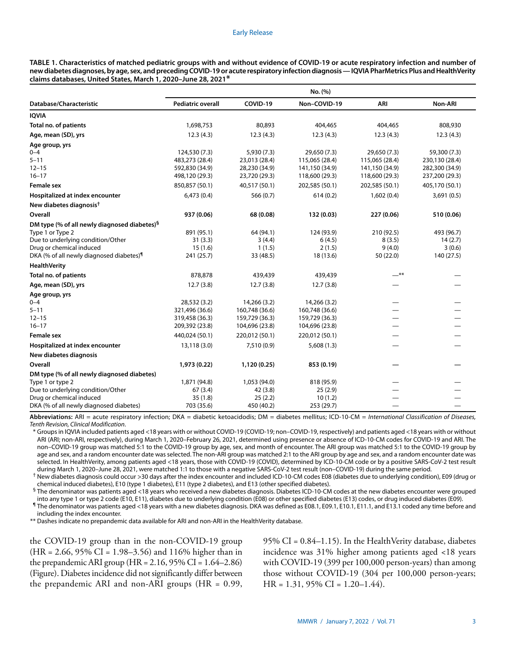#### Early Release

**TABLE 1. Characteristics of matched pediatric groups with and without evidence of COVID-19 or acute respiratory infection and number of new diabetes diagnoses, by age, sex, and preceding COVID-19 or acute respiratory infection diagnosis — IQVIA PharMetrics Plus and HealthVerity claims databases, United States, March 1, 2020–June 28, 2021\***

|                                                          | No. (%)                  |                |                |                |                |  |  |  |  |
|----------------------------------------------------------|--------------------------|----------------|----------------|----------------|----------------|--|--|--|--|
| Database/Characteristic                                  | <b>Pediatric overall</b> | COVID-19       | Non-COVID-19   | ARI            | Non-ARI        |  |  |  |  |
| <b>IQVIA</b>                                             |                          |                |                |                |                |  |  |  |  |
| Total no. of patients                                    | 1,698,753                | 80,893         | 404,465        | 404,465        | 808,930        |  |  |  |  |
| Age, mean (SD), yrs                                      | 12.3(4.3)                | 12.3(4.3)      | 12.3(4.3)      | 12.3(4.3)      | 12.3(4.3)      |  |  |  |  |
| Age group, yrs                                           |                          |                |                |                |                |  |  |  |  |
| $0 - 4$                                                  | 124,530 (7.3)            | 5,930 (7.3)    | 29,650 (7.3)   | 29,650 (7.3)   | 59,300 (7.3)   |  |  |  |  |
| $5 - 11$                                                 | 483,273 (28.4)           | 23,013 (28.4)  | 115,065 (28.4) | 115,065 (28.4) | 230,130 (28.4) |  |  |  |  |
| $12 - 15$                                                | 592,830 (34.9)           | 28,230 (34.9)  | 141,150 (34.9) | 141,150 (34.9) | 282,300 (34.9) |  |  |  |  |
| $16 - 17$                                                | 498,120 (29.3)           | 23,720 (29.3)  | 118,600 (29.3) | 118,600 (29.3) | 237,200 (29.3) |  |  |  |  |
| <b>Female sex</b>                                        | 850,857 (50.1)           | 40,517 (50.1)  | 202,585 (50.1) | 202,585 (50.1) | 405,170 (50.1) |  |  |  |  |
| Hospitalized at index encounter                          | 6,473(0.4)               | 566(0.7)       | 614(0.2)       | 1,602(0.4)     | 3,691(0.5)     |  |  |  |  |
| New diabetes diagnosis <sup>†</sup>                      |                          |                |                |                |                |  |  |  |  |
| Overall                                                  | 937 (0.06)               | 68 (0.08)      | 132 (0.03)     | 227 (0.06)     | 510 (0.06)     |  |  |  |  |
| DM type (% of all newly diagnosed diabetes) <sup>§</sup> |                          |                |                |                |                |  |  |  |  |
| Type 1 or Type 2                                         | 891 (95.1)               | 64 (94.1)      | 124 (93.9)     | 210 (92.5)     | 493 (96.7)     |  |  |  |  |
| Due to underlying condition/Other                        | 31(3.3)                  | 3(4.4)         | 6(4.5)         | 8(3.5)         | 14(2.7)        |  |  |  |  |
| Drug or chemical induced                                 | 15(1.6)                  | 1(1.5)         | 2(1.5)         | 9(4.0)         | 3(0.6)         |  |  |  |  |
| DKA (% of all newly diagnosed diabetes) <sup>1</sup>     | 241 (25.7)               | 33 (48.5)      | 18 (13.6)      | 50 (22.0)      | 140 (27.5)     |  |  |  |  |
| <b>HealthVerity</b>                                      |                          |                |                |                |                |  |  |  |  |
| Total no. of patients                                    | 878,878                  | 439,439        | 439,439        | —**            |                |  |  |  |  |
| Age, mean (SD), yrs                                      | 12.7(3.8)                | 12.7(3.8)      | 12.7(3.8)      |                |                |  |  |  |  |
| Age group, yrs                                           |                          |                |                |                |                |  |  |  |  |
| $0 - 4$                                                  | 28,532 (3.2)             | 14,266 (3.2)   | 14,266 (3.2)   |                |                |  |  |  |  |
| $5 - 11$                                                 | 321,496 (36.6)           | 160,748 (36.6) | 160,748 (36.6) |                |                |  |  |  |  |
| $12 - 15$                                                | 319,458 (36.3)           | 159,729 (36.3) | 159,729 (36.3) |                |                |  |  |  |  |
| $16 - 17$                                                | 209,392 (23.8)           | 104,696 (23.8) | 104,696 (23.8) |                |                |  |  |  |  |
| <b>Female sex</b>                                        | 440,024 (50.1)           | 220,012 (50.1) | 220,012 (50.1) |                |                |  |  |  |  |
| Hospitalized at index encounter                          | 13,118 (3.0)             | 7,510 (0.9)    | 5,608(1.3)     |                |                |  |  |  |  |
| New diabetes diagnosis                                   |                          |                |                |                |                |  |  |  |  |
| Overall                                                  | 1,973 (0.22)             | 1,120 (0.25)   | 853 (0.19)     |                |                |  |  |  |  |
| DM type (% of all newly diagnosed diabetes)              |                          |                |                |                |                |  |  |  |  |
| Type 1 or type 2                                         | 1,871 (94.8)             | 1,053 (94.0)   | 818 (95.9)     |                |                |  |  |  |  |
| Due to underlying condition/Other                        | 67(3.4)                  | 42(3.8)        | 25(2.9)        |                |                |  |  |  |  |
| Drug or chemical induced                                 | 35(1.8)                  | 25(2.2)        | 10(1.2)        |                |                |  |  |  |  |
| DKA (% of all newly diagnosed diabetes)                  | 703 (35.6)               | 450 (40.2)     | 253 (29.7)     |                |                |  |  |  |  |

Abbreviations: ARI = acute respiratory infection; DKA = diabetic ketoacidodis; DM = diabetes mellitus; ICD-10-CM = *International Classification of Diseases*, *Tenth Revision, Clinical Modification*.

\* Groups in IQVIA included patients aged <18 years with or without COVID-19 (COVID-19; non–COVID-19, respectively) and patients aged <18 years with or without ARI (ARI; non-ARI, respectively), during March 1, 2020–February 26, 2021, determined using presence or absence of ICD-10-CM codes for COVID-19 and ARI. The non–COVID-19 group was matched 5:1 to the COVID-19 group by age, sex, and month of encounter. The ARI group was matched 5:1 to the COVID-19 group by age and sex, and a random encounter date was selected. The non-ARI group was matched 2:1 to the ARI group by age and sex, and a random encounter date was selected. In HealthVerity, among patients aged <18 years, those with COVID-19 (COVID), determined by ICD-10-CM code or by a positive SARS-CoV-2 test result during March 1, 2020–June 28, 2021, were matched 1:1 to those with a negative SARS-CoV-2 test result (non–COVID-19) during the same period.

† New diabetes diagnosis could occur >30 days after the index encounter and included ICD-10-CM codes E08 (diabetes due to underlying condition), E09 (drug or chemical induced diabetes), E10 (type 1 diabetes), E11 (type 2 diabetes), and E13 (other specified diabetes).

§ The denominator was patients aged <18 years who received a new diabetes diagnosis. Diabetes ICD-10-CM codes at the new diabetes encounter were grouped into any type 1 or type 2 code (E10, E11), diabetes due to underlying condition (E08) or other specified diabetes (E13) codes, or drug induced diabetes (E09).

¶ The denominator was patients aged <18 years with a new diabetes diagnosis. DKA was defined as E08.1, E09.1, E10.1, E11.1, and E13.1 coded any time before and including the index encounter.

\*\* Dashes indicate no prepandemic data available for ARI and non-ARI in the HealthVerity database.

the COVID-19 group than in the non-COVID-19 group (HR = 2.66, 95% CI = 1.98–3.56) and 116% higher than in the prepandemic ARI group (HR = 2.16, 95% CI = 1.64–2.86) (Figure). Diabetes incidence did not significantly differ between the prepandemic ARI and non-ARI groups (HR = 0.99, 95% CI = 0.84–1.15). In the HealthVerity database, diabetes incidence was 31% higher among patients aged <18 years with COVID-19 (399 per 100,000 person-years) than among those without COVID-19 (304 per 100,000 person-years; HR =  $1.31$ ,  $95\%$  CI =  $1.20-1.44$ ).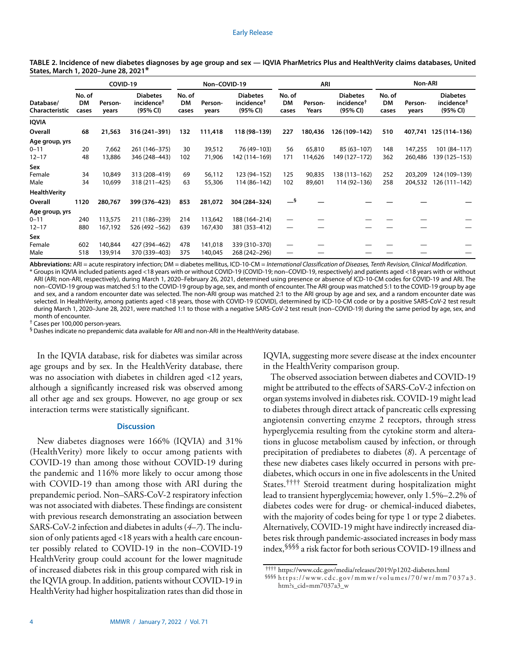|                                       | COVID-19              |                    |                                                       | Non-COVID-19          |                    | ARI                                                   |                       |                   | Non-ARI                                               |                       |                    |                                                       |
|---------------------------------------|-----------------------|--------------------|-------------------------------------------------------|-----------------------|--------------------|-------------------------------------------------------|-----------------------|-------------------|-------------------------------------------------------|-----------------------|--------------------|-------------------------------------------------------|
| Database/<br>Characteristic           | No. of<br>DM<br>cases | Person-<br>years   | <b>Diabetes</b><br>incidence <sup>†</sup><br>(95% CI) | No. of<br>DM<br>cases | Person-<br>years   | <b>Diabetes</b><br>incidence <sup>†</sup><br>(95% CI) | No. of<br>DM<br>cases | Person-<br>Years  | <b>Diabetes</b><br>incidence <sup>†</sup><br>(95% CI) | No. of<br>DM<br>cases | Person-<br>years   | <b>Diabetes</b><br>incidence <sup>†</sup><br>(95% CI) |
| IQVIA                                 |                       |                    |                                                       |                       |                    |                                                       |                       |                   |                                                       |                       |                    |                                                       |
| Overall                               | 68                    | 21,563             | 316 (241-391)                                         | 132                   | 111,418            | 118 (98-139)                                          | 227                   | 180,436           | 126 (109-142)                                         | 510                   |                    | 407,741 125 (114-136)                                 |
| Age group, yrs<br>0-11<br>$12 - 17$   | 20<br>48              | 7,662<br>13,886    | 261 (146-375)<br>346 (248-443)                        | 30<br>102             | 39,512<br>71,906   | 76 (49-103)<br>142 (114-169)                          | 56<br>171             | 65,810<br>114,626 | 85 (63-107)<br>149 (127-172)                          | 148<br>362            | 147,255<br>260,486 | $101(84 - 117)$<br>139 (125-153)                      |
| Sex                                   |                       |                    |                                                       |                       |                    |                                                       |                       |                   |                                                       |                       |                    |                                                       |
| Female<br>Male<br><b>HealthVerity</b> | 34<br>34              | 10,849<br>10,699   | 313 (208-419)<br>318 (211-425)                        | 69<br>63              | 56,112<br>55,306   | 123 (94-152)<br>114 (86-142)                          | 125<br>102            | 90,835<br>89,601  | 138 (113-162)<br>114 (92-136)                         | 252<br>258            | 203,209<br>204,532 | 124 (109-139)<br>126 (111-142)                        |
| Overall                               | 1120                  | 280,767            | 399 (376-423)                                         | 853                   | 281,072            | 304 (284-324)                                         | $-$ §                 |                   |                                                       |                       |                    |                                                       |
| Age group, yrs                        |                       |                    |                                                       |                       |                    |                                                       |                       |                   |                                                       |                       |                    |                                                       |
| 0-11<br>$12 - 17$                     | 240<br>880            | 113,575<br>167,192 | 211 (186-239)<br>526 (492 - 562)                      | 214<br>639            | 113,642<br>167,430 | 188 (164-214)<br>381 (353-412)                        |                       |                   |                                                       |                       |                    |                                                       |
| Sex<br>Female                         | 602                   | 140,844            | 427 (394-462)                                         | 478                   | 141,018            | 339 (310-370)                                         |                       |                   |                                                       |                       |                    |                                                       |
| Male                                  | 518                   | 139,914            | 370 (339-403)                                         | 375                   | 140,045            | 268 (242-296)                                         |                       |                   |                                                       |                       |                    |                                                       |

**TABLE 2. Incidence of new diabetes diagnoses by age group and sex — IQVIA PharMetrics Plus and HealthVerity claims databases, United States, March 1, 2020–June 28, 2021\***

**Abbreviations:** ARI = acute respiratory infection; DM = diabetes mellitus, ICD-10-CM = *International Classification of Diseases, Tenth Revision, Clinical Modification*. \* Groups in IQVIA included patients aged <18 years with or without COVID-19 (COVID-19; non–COVID-19, respectively) and patients aged <18 years with or without ARI (ARI; non-ARI, respectively), during March 1, 2020–February 26, 2021, determined using presence or absence of ICD-10-CM codes for COVID-19 and ARI. The non–COVID-19 group was matched 5:1 to the COVID-19 group by age, sex, and month of encounter. The ARI group was matched 5:1 to the COVID-19 group by age and sex, and a random encounter date was selected. The non-ARI group was matched 2:1 to the ARI group by age and sex, and a random encounter date was selected. In HealthVerity, among patients aged <18 years, those with COVID-19 (COVID), determined by ICD-10-CM code or by a positive SARS-CoV-2 test result during March 1, 2020–June 28, 2021, were matched 1:1 to those with a negative SARS-CoV-2 test result (non–COVID-19) during the same period by age, sex, and month of encounter.

† Cases per 100,000 person-years.

§ Dashes indicate no prepandemic data available for ARI and non-ARI in the HealthVerity database.

In the IQVIA database, risk for diabetes was similar across age groups and by sex. In the HealthVerity database, there was no association with diabetes in children aged <12 years, although a significantly increased risk was observed among all other age and sex groups. However, no age group or sex interaction terms were statistically significant.

# **Discussion**

New diabetes diagnoses were 166% (IQVIA) and 31% (HealthVerity) more likely to occur among patients with COVID-19 than among those without COVID-19 during the pandemic and 116% more likely to occur among those with COVID-19 than among those with ARI during the prepandemic period. Non–SARS-CoV-2 respiratory infection was not associated with diabetes. These findings are consistent with previous research demonstrating an association between SARS-CoV-2 infection and diabetes in adults (*4*–*7*). The inclusion of only patients aged <18 years with a health care encounter possibly related to COVID-19 in the non–COVID-19 HealthVerity group could account for the lower magnitude of increased diabetes risk in this group compared with risk in the IQVIA group. In addition, patients without COVID-19 in HealthVerity had higher hospitalization rates than did those in IQVIA, suggesting more severe disease at the index encounter in the HealthVerity comparison group.

The observed association between diabetes and COVID-19 might be attributed to the effects of SARS-CoV-2 infection on organ systems involved in diabetes risk. COVID-19 might lead to diabetes through direct attack of pancreatic cells expressing angiotensin converting enzyme 2 receptors, through stress hyperglycemia resulting from the cytokine storm and alterations in glucose metabolism caused by infection, or through precipitation of prediabetes to diabetes (*8*). A percentage of these new diabetes cases likely occurred in persons with prediabetes, which occurs in one in five adolescents in the United States.†††† Steroid treatment during hospitalization might lead to transient hyperglycemia; however, only 1.5%–2.2% of diabetes codes were for drug- or chemical-induced diabetes, with the majority of codes being for type 1 or type 2 diabetes. Alternatively, COVID-19 might have indirectly increased diabetes risk through pandemic-associated increases in body mass index,§§§§ a risk factor for both serious COVID-19 illness and

<sup>††††</sup> <https://www.cdc.gov/media/releases/2019/p1202-diabetes.html>

<sup>§§§§</sup> [https://www.cdc.gov/mmwr/volumes/70/wr/mm7037a3.](https://www.cdc.gov/mmwr/volumes/70/wr/mm7037a3.htm?s_cid=mm7037a3_w) [htm?s\\_cid=mm7037a3\\_w](https://www.cdc.gov/mmwr/volumes/70/wr/mm7037a3.htm?s_cid=mm7037a3_w)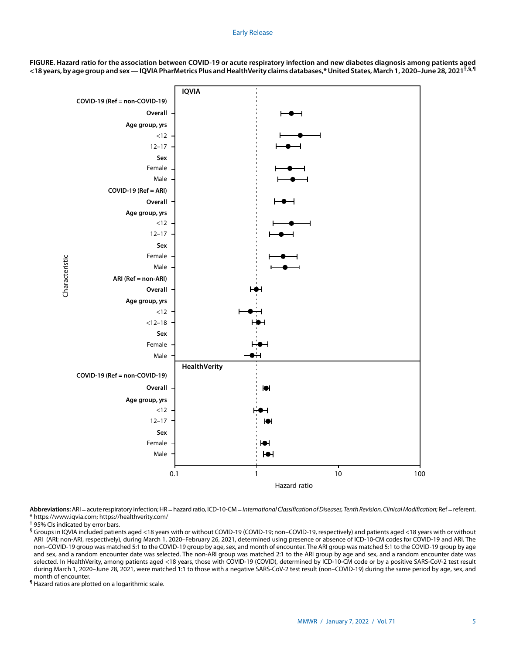## Early Release



**FIGURE. Hazard ratio for the association between COVID-19 or acute respiratory infection and new diabetes diagnosis among patients aged <18 years, by age group and sex — IQVIA PharMetrics Plus and HealthVerity claims databases,\* United States, March 1, 2020–June 28, 2021†,§,¶**

**Abbreviations:** ARI = acute respiratory infection; HR = hazard ratio, ICD-10-CM = *International Classification of Diseases, Tenth Revision, Clinical Modification*; Ref = referent. \* <https://www.iqvia.com>;<https://healthverity.com/>

¶ Hazard ratios are plotted on a logarithmic scale.

<sup>†</sup> 95% CIs indicated by error bars.

<sup>§</sup> Groups in IQVIA included patients aged <18 years with or without COVID-19 (COVID-19; non–COVID-19, respectively) and patients aged <18 years with or without ARI (ARI; non-ARI, respectively), during March 1, 2020–February 26, 2021, determined using presence or absence of ICD-10-CM codes for COVID-19 and ARI. The non–COVID-19 group was matched 5:1 to the COVID-19 group by age, sex, and month of encounter. The ARI group was matched 5:1 to the COVID-19 group by age and sex, and a random encounter date was selected. The non-ARI group was matched 2:1 to the ARI group by age and sex, and a random encounter date was selected. In HealthVerity, among patients aged <18 years, those with COVID-19 (COVID), determined by ICD-10-CM code or by a positive SARS-CoV-2 test result during March 1, 2020–June 28, 2021, were matched 1:1 to those with a negative SARS-CoV-2 test result (non–COVID-19) during the same period by age, sex, and month of encounter.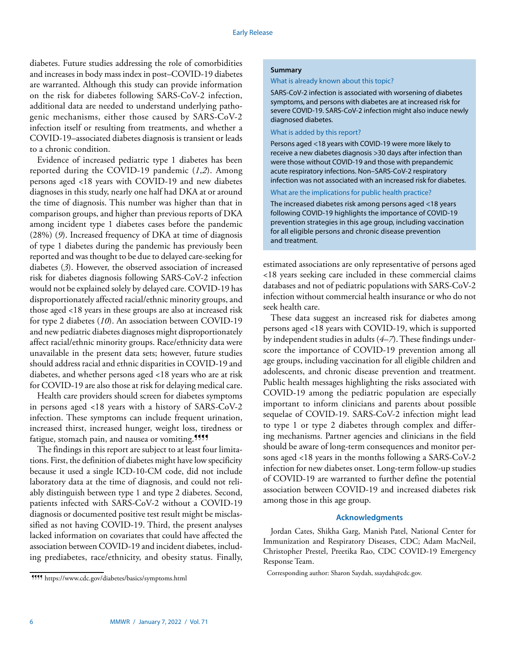diabetes. Future studies addressing the role of comorbidities and increases in body mass index in post–COVID-19 diabetes are warranted. Although this study can provide information on the risk for diabetes following SARS-CoV-2 infection, additional data are needed to understand underlying pathogenic mechanisms, either those caused by SARS-CoV-2 infection itself or resulting from treatments, and whether a COVID-19–associated diabetes diagnosis is transient or leads to a chronic condition.

Evidence of increased pediatric type 1 diabetes has been reported during the COVID-19 pandemic (*1*,*2*). Among persons aged <18 years with COVID-19 and new diabetes diagnoses in this study, nearly one half had DKA at or around the time of diagnosis. This number was higher than that in comparison groups, and higher than previous reports of DKA among incident type 1 diabetes cases before the pandemic (28%) (*9*). Increased frequency of DKA at time of diagnosis of type 1 diabetes during the pandemic has previously been reported and was thought to be due to delayed care-seeking for diabetes (*3*). However, the observed association of increased risk for diabetes diagnosis following SARS-CoV-2 infection would not be explained solely by delayed care. COVID-19 has disproportionately affected racial/ethnic minority groups, and those aged <18 years in these groups are also at increased risk for type 2 diabetes (*10*). An association between COVID-19 and new pediatric diabetes diagnoses might disproportionately affect racial/ethnic minority groups. Race/ethnicity data were unavailable in the present data sets; however, future studies should address racial and ethnic disparities in COVID-19 and diabetes, and whether persons aged <18 years who are at risk for COVID-19 are also those at risk for delaying medical care.

Health care providers should screen for diabetes symptoms in persons aged <18 years with a history of SARS-CoV-2 infection. These symptoms can include frequent urination, increased thirst, increased hunger, weight loss, tiredness or fatigue, stomach pain, and nausea or vomiting.<sup>9999</sup>

The findings in this report are subject to at least four limitations. First, the definition of diabetes might have low specificity because it used a single ICD-10-CM code, did not include laboratory data at the time of diagnosis, and could not reliably distinguish between type 1 and type 2 diabetes. Second, patients infected with SARS-CoV-2 without a COVID-19 diagnosis or documented positive test result might be misclassified as not having COVID-19. Third, the present analyses lacked information on covariates that could have affected the association between COVID-19 and incident diabetes, including prediabetes, race/ethnicity, and obesity status. Finally,

## **Summary**

#### What is already known about this topic?

SARS-CoV-2 infection is associated with worsening of diabetes symptoms, and persons with diabetes are at increased risk for severe COVID-19. SARS-CoV-2 infection might also induce newly diagnosed diabetes.

## What is added by this report?

Persons aged <18 years with COVID-19 were more likely to receive a new diabetes diagnosis >30 days after infection than were those without COVID-19 and those with prepandemic acute respiratory infections. Non–SARS-CoV-2 respiratory infection was not associated with an increased risk for diabetes.

What are the implications for public health practice?

The increased diabetes risk among persons aged <18 years following COVID-19 highlights the importance of COVID-19 prevention strategies in this age group, including vaccination for all eligible persons and chronic disease prevention and treatment.

estimated associations are only representative of persons aged <18 years seeking care included in these commercial claims databases and not of pediatric populations with SARS-CoV-2 infection without commercial health insurance or who do not seek health care.

These data suggest an increased risk for diabetes among persons aged <18 years with COVID-19, which is supported by independent studies in adults (*4*–*7*). These findings underscore the importance of COVID-19 prevention among all age groups, including vaccination for all eligible children and adolescents, and chronic disease prevention and treatment. Public health messages highlighting the risks associated with COVID-19 among the pediatric population are especially important to inform clinicians and parents about possible sequelae of COVID-19. SARS-CoV-2 infection might lead to type 1 or type 2 diabetes through complex and differing mechanisms. Partner agencies and clinicians in the field should be aware of long-term consequences and monitor persons aged <18 years in the months following a SARS-CoV-2 infection for new diabetes onset. Long-term follow-up studies of COVID-19 are warranted to further define the potential association between COVID-19 and increased diabetes risk among those in this age group.

# **Acknowledgments**

Jordan Cates, Shikha Garg, Manish Patel, National Center for Immunization and Respiratory Diseases, CDC; Adam MacNeil, Christopher Prestel, Preetika Rao, CDC COVID-19 Emergency Response Team.

<sup>¶¶¶¶</sup> <https://www.cdc.gov/diabetes/basics/symptoms.html>

Corresponding author: Sharon Saydah, [ssaydah@cdc.gov.](mailto:ssaydah@cdc.gov)